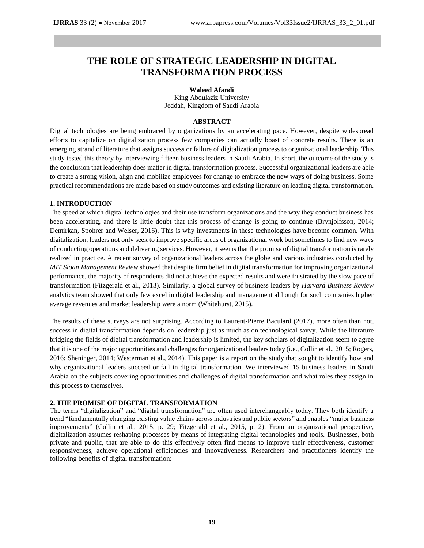# **THE ROLE OF STRATEGIC LEADERSHIP IN DIGITAL TRANSFORMATION PROCESS**

**Waleed Afandi**

King Abdulaziz University Jeddah, Kingdom of Saudi Arabia

#### **ABSTRACT**

Digital technologies are being embraced by organizations by an accelerating pace. However, despite widespread efforts to capitalize on digitalization process few companies can actually boast of concrete results. There is an emerging strand of literature that assigns success or failure of digitalization process to organizational leadership. This study tested this theory by interviewing fifteen business leaders in Saudi Arabia. In short, the outcome of the study is the conclusion that leadership does matter in digital transformation process. Successful organizational leaders are able to create a strong vision, align and mobilize employees for change to embrace the new ways of doing business. Some practical recommendations are made based on study outcomes and existing literature on leading digital transformation.

## **1. INTRODUCTION**

The speed at which digital technologies and their use transform organizations and the way they conduct business has been accelerating, and there is little doubt that this process of change is going to continue (Brynjolfsson, 2014; Demirkan, Spohrer and Welser, 2016). This is why investments in these technologies have become common. With digitalization, leaders not only seek to improve specific areas of organizational work but sometimes to find new ways of conducting operations and delivering services. However, it seems that the promise of digital transformation is rarely realized in practice. A recent survey of organizational leaders across the globe and various industries conducted by *MIT Sloan Management Review* showed that despite firm belief in digital transformation for improving organizational performance, the majority of respondents did not achieve the expected results and were frustrated by the slow pace of transformation (Fitzgerald et al., 2013). Similarly, a global survey of business leaders by *Harvard Business Review* analytics team showed that only few excel in digital leadership and management although for such companies higher average revenues and market leadership were a norm (Whitehurst, 2015).

The results of these surveys are not surprising. According to Laurent-Pierre Baculard (2017), more often than not, success in digital transformation depends on leadership just as much as on technological savvy. While the literature bridging the fields of digital transformation and leadership is limited, the key scholars of digitalization seem to agree that it is one of the major opportunities and challenges for organizational leaders today (i.e., Collin et al., 2015; Rogers, 2016; Sheninger, 2014; Westerman et al., 2014). This paper is a report on the study that sought to identify how and why organizational leaders succeed or fail in digital transformation. We interviewed 15 business leaders in Saudi Arabia on the subjects covering opportunities and challenges of digital transformation and what roles they assign in this process to themselves.

## **2. THE PROMISE OF DIGITAL TRANSFORMATION**

The terms "digitalization" and "digital transformation" are often used interchangeably today. They both identify a trend "fundamentally changing existing value chains across industries and public sectors" and enables "major business improvements" (Collin et al., 2015, p. 29; Fitzgerald et al., 2015, p. 2). From an organizational perspective, digitalization assumes reshaping processes by means of integrating digital technologies and tools. Businesses, both private and public, that are able to do this effectively often find means to improve their effectiveness, customer responsiveness, achieve operational efficiencies and innovativeness. Researchers and practitioners identify the following benefits of digital transformation: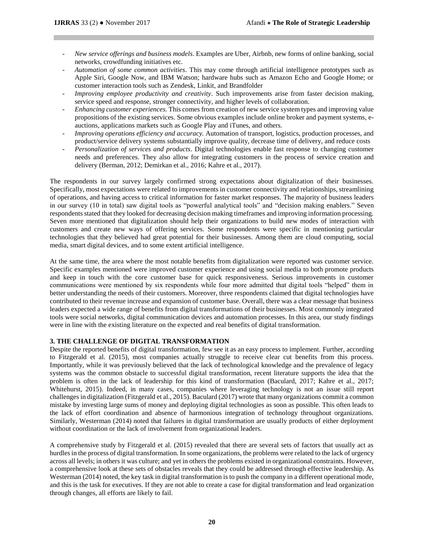- *New service offerings and business models*. Examples are Uber, Airbnb, new forms of online banking, social networks, crowdfunding initiatives etc.
- *Automation of some common activities*. This may come through artificial intelligence prototypes such as Apple Siri, Google Now, and IBM Watson; hardware hubs such as Amazon Echo and Google Home; or customer interaction tools such as Zendesk, Linkit, and Brandfolder
- *Improving employee productivity and creativity*. Such improvements arise from faster decision making, service speed and response, stronger connectivity, and higher levels of collaboration.
- *Enhancing customer experiences.* This comes from creation of new service system types and improving value propositions of the existing services. Some obvious examples include online broker and payment systems, eauctions, applications markets such as Google Play and iTunes, and others.
- *Improving operations efficiency and accuracy.* Automation of transport, logistics, production processes, and product/service delivery systems substantially improve quality, decrease time of delivery, and reduce costs
- *Personalization of services and products*. Digital technologies enable fast response to changing customer needs and preferences. They also allow for integrating customers in the process of service creation and delivery (Berman, 2012; Demirkan et al., 2016; Kahre et al., 2017).

The respondents in our survey largely confirmed strong expectations about digitalization of their businesses. Specifically, most expectations were related to improvements in customer connectivity and relationships, streamlining of operations, and having access to critical information for faster market responses. The majority of business leaders in our survey (10 in total) saw digital tools as "powerful analytical tools" and "decision making enablers." Seven respondents stated that they looked for decreasing decision making timeframes and improving information processing. Seven more mentioned that digitalization should help their organizations to build new modes of interaction with customers and create new ways of offering services. Some respondents were specific in mentioning particular technologies that they believed had great potential for their businesses. Among them are cloud computing, social media, smart digital devices, and to some extent artificial intelligence.

At the same time, the area where the most notable benefits from digitalization were reported was customer service. Specific examples mentioned were improved customer experience and using social media to both promote products and keep in touch with the core customer base for quick responsiveness. Serious improvements in customer communications were mentioned by six respondents while four more admitted that digital tools "helped" them in better understanding the needs of their customers. Moreover, three respondents claimed that digital technologies have contributed to their revenue increase and expansion of customer base. Overall, there was a clear message that business leaders expected a wide range of benefits from digital transformations of their businesses. Most commonly integrated tools were social networks, digital communication devices and automation processes. In this area, our study findings were in line with the existing literature on the expected and real benefits of digital transformation.

## **3. THE CHALLENGE OF DIGITAL TRANSFORMATION**

Despite the reported benefits of digital transformation, few see it as an easy process to implement. Further, according to Fitzgerald et al. (2015), most companies actually struggle to receive clear cut benefits from this process. Importantly, while it was previously believed that the lack of technological knowledge and the prevalence of legacy systems was the common obstacle to successful digital transformation, recent literature supports the idea that the problem is often in the lack of leadership for this kind of transformation (Baculard, 2017; Kahre et al., 2017; Whitehurst, 2015). Indeed, in many cases, companies where leveraging technology is not an issue still report challenges in digitalization (Fitzgerald et al., 2015). Baculard (2017) wrote that many organizations commit a common mistake by investing large sums of money and deploying digital technologies as soon as possible. This often leads to the lack of effort coordination and absence of harmonious integration of technology throughout organizations. Similarly, Westerman (2014) noted that failures in digital transformation are usually products of either deployment without coordination or the lack of involvement from organizational leaders.

A comprehensive study by Fitzgerald et al. (2015) revealed that there are several sets of factors that usually act as hurdles in the process of digital transformation. In some organizations, the problems were related to the lack of urgency across all levels; in others it was culture; and yet in others the problems existed in organizational constraints. However, a comprehensive look at these sets of obstacles reveals that they could be addressed through effective leadership. As Westerman (2014) noted, the key task in digital transformation is to push the company in a different operational mode, and this is the task for executives. If they are not able to create a case for digital transformation and lead organization through changes, all efforts are likely to fail.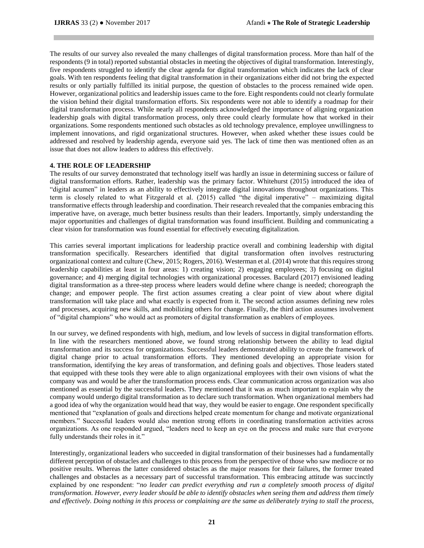The results of our survey also revealed the many challenges of digital transformation process. More than half of the respondents (9 in total) reported substantial obstacles in meeting the objectives of digital transformation. Interestingly, five respondents struggled to identify the clear agenda for digital transformation which indicates the lack of clear goals. With ten respondents feeling that digital transformation in their organizations either did not bring the expected results or only partially fulfilled its initial purpose, the question of obstacles to the process remained wide open. However, organizational politics and leadership issues came to the fore. Eight respondents could not clearly formulate the vision behind their digital transformation efforts. Six respondents were not able to identify a roadmap for their digital transformation process. While nearly all respondents acknowledged the importance of aligning organization leadership goals with digital transformation process, only three could clearly formulate how that worked in their organizations. Some respondents mentioned such obstacles as old technology prevalence, employee unwillingness to implement innovations, and rigid organizational structures. However, when asked whether these issues could be addressed and resolved by leadership agenda, everyone said yes. The lack of time then was mentioned often as an issue that does not allow leaders to address this effectively.

## **4. THE ROLE OF LEADERSHIP**

The results of our survey demonstrated that technology itself was hardly an issue in determining success or failure of digital transformation efforts. Rather, leadership was the primary factor. Whitehurst (2015) introduced the idea of "digital acumen" in leaders as an ability to effectively integrate digital innovations throughout organizations. This term is closely related to what Fitzgerald et al. (2015) called "the digital imperative" – maximizing digital transformative effects through leadership and coordination. Their research revealed that the companies embracing this imperative have, on average, much better business results than their leaders. Importantly, simply understanding the major opportunities and challenges of digital transformation was found insufficient. Building and communicating a clear vision for transformation was found essential for effectively executing digitalization.

This carries several important implications for leadership practice overall and combining leadership with digital transformation specifically. Researchers identified that digital transformation often involves restructuring organizational context and culture (Chew, 2015; Rogers, 2016). Westerman et al. (2014) wrote that this requires strong leadership capabilities at least in four areas: 1) creating vision; 2) engaging employees; 3) focusing on digital governance; and 4) merging digital technologies with organizational processes. Baculard (2017) envisioned leading digital transformation as a three-step process where leaders would define where change is needed; choreograph the change; and empower people. The first action assumes creating a clear point of view about where digital transformation will take place and what exactly is expected from it. The second action assumes defining new roles and processes, acquiring new skills, and mobilizing others for change. Finally, the third action assumes involvement of "digital champions" who would act as promoters of digital transformation as enablers of employees.

In our survey, we defined respondents with high, medium, and low levels of success in digital transformation efforts. In line with the researchers mentioned above, we found strong relationship between the ability to lead digital transformation and its success for organizations. Successful leaders demonstrated ability to create the framework of digital change prior to actual transformation efforts. They mentioned developing an appropriate vision for transformation, identifying the key areas of transformation, and defining goals and objectives. Those leaders stated that equipped with these tools they were able to align organizational employees with their own visions of what the company was and would be after the transformation process ends. Clear communication across organization was also mentioned as essential by the successful leaders. They mentioned that it was as much important to explain why the company would undergo digital transformation as to declare such transformation. When organizational members had a good idea of why the organization would head that way, they would be easier to engage. One respondent specifically mentioned that "explanation of goals and directions helped create momentum for change and motivate organizational members." Successful leaders would also mention strong efforts in coordinating transformation activities across organizations. As one responded argued, "leaders need to keep an eye on the process and make sure that everyone fully understands their roles in it."

Interestingly, organizational leaders who succeeded in digital transformation of their businesses had a fundamentally different perception of obstacles and challenges to this process from the perspective of those who saw mediocre or no positive results. Whereas the latter considered obstacles as the major reasons for their failures, the former treated challenges and obstacles as a necessary part of successful transformation. This embracing attitude was succinctly explained by one respondent: "*no leader can predict everything and run a completely smooth process of digital transformation. However, every leader should be able to identify obstacles when seeing them and address them timely and effectively. Doing nothing in this process or complaining are the same as deliberately trying to stall the process,*